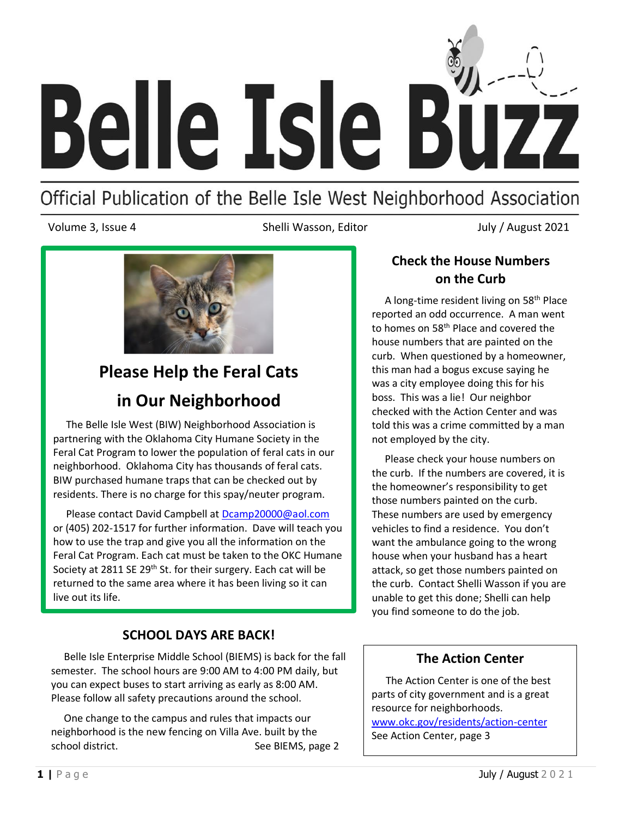

## Official Publication of the Belle Isle West Neighborhood Association

Volume 3, Issue 4 **Shelli Wasson, Editor** July / August 2021



# **Please Help the Feral Cats in Our Neighborhood**

 The Belle Isle West (BIW) Neighborhood Association is partnering with the Oklahoma City Humane Society in the Feral Cat Program to lower the population of feral cats in our neighborhood. Oklahoma City has thousands of feral cats. BIW purchased humane traps that can be checked out by residents. There is no charge for this spay/neuter program.

 Please contact David Campbell at [Dcamp20000@aol.com](mailto:Dcamp20000@aol.com)  or (405) 202-1517 for further information. Dave will teach you how to use the trap and give you all the information on the Feral Cat Program. Each cat must be taken to the OKC Humane Society at 2811 SE 29<sup>th</sup> St. for their surgery. Each cat will be returned to the same area where it has been living so it can live out its life.

## **SCHOOL DAYS ARE BACK!**

 Belle Isle Enterprise Middle School (BIEMS) is back for the fall semester. The school hours are 9:00 AM to 4:00 PM daily, but you can expect buses to start arriving as early as 8:00 AM. Please follow all safety precautions around the school.

 One change to the campus and rules that impacts our neighborhood is the new fencing on Villa Ave. built by the school district. The seedle of the See BIEMS, page 2

## **Check the House Numbers on the Curb**

 A long-time resident living on 58th Place reported an odd occurrence. A man went to homes on 58th Place and covered the house numbers that are painted on the curb. When questioned by a homeowner, this man had a bogus excuse saying he was a city employee doing this for his boss. This was a lie! Our neighbor checked with the Action Center and was told this was a crime committed by a man not employed by the city.

 Please check your house numbers on the curb. If the numbers are covered, it is the homeowner's responsibility to get those numbers painted on the curb. These numbers are used by emergency vehicles to find a residence. You don't want the ambulance going to the wrong house when your husband has a heart attack, so get those numbers painted on the curb. Contact Shelli Wasson if you are unable to get this done; Shelli can help you find someone to do the job.

## **The Action Center**

 The Action Center is one of the best parts of city government and is a great resource for neighborhoods. [www.okc.gov/residents/action-center](http://www.okc.gov/residents/action-center)  See Action Center, page 3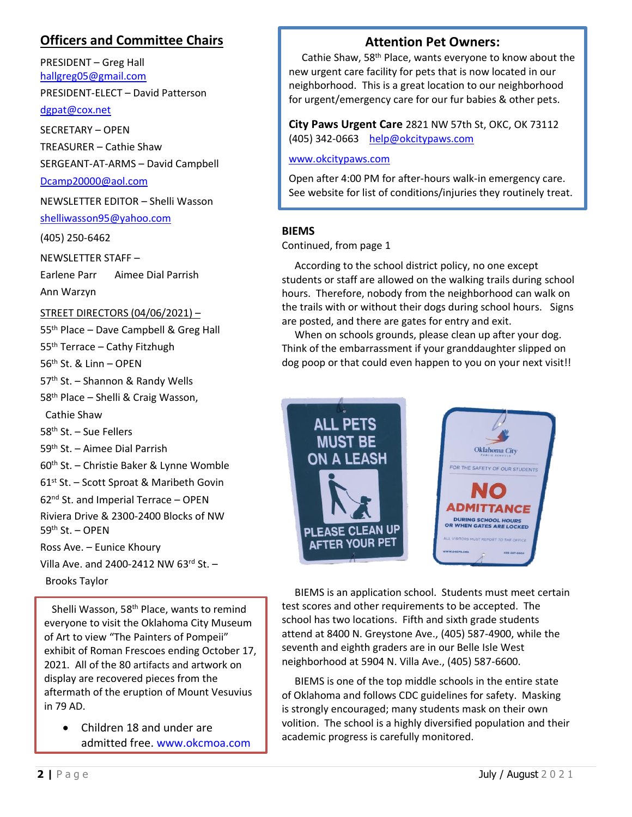## **Officers and Committee Chairs**

PRESIDENT – Greg Hall [hallgreg05@gmail.com](mailto:hallgreg05@gmail.com)

PRESIDENT-ELECT – David Patterson

[dgpat@cox.net](mailto:dgpat@cox.net)

SECRETARY – OPEN TREASURER – Cathie Shaw SERGEANT-AT-ARMS – David Campbell [Dcamp20000@aol.com](mailto:Dcamp20000@aol.com)

NEWSLETTER EDITOR – Shelli Wasson

[shelliwasson95@yahoo.com](mailto:%20shelliwasson95@yahoo.com)

(405) 250-6462

NEWSLETTER STAFF –

Earlene Parr Aimee Dial Parrish

Ann Warzyn

#### STREET DIRECTORS (04/06/2021) –

55<sup>th</sup> Place – Dave Campbell & Greg Hall

55<sup>th</sup> Terrace – Cathy Fitzhugh

56th St. & Linn – OPEN

57<sup>th</sup> St. - Shannon & Randy Wells

58<sup>th</sup> Place – Shelli & Craig Wasson,

Cathie Shaw

58<sup>th</sup> St. – Sue Fellers

59th St. – Aimee Dial Parrish

- 60th St. Christie Baker & Lynne Womble
- 61st St. Scott Sproat & Maribeth Govin

62nd St. and Imperial Terrace – OPEN

Riviera Drive & 2300-2400 Blocks of NW 59th St. – OPEN

Ross Ave. – Eunice Khoury

Villa Ave. and 2400-2412 NW 63rd St. –

Brooks Taylor

Shelli Wasson, 58<sup>th</sup> Place, wants to remind everyone to visit the Oklahoma City Museum of Art to view "The Painters of Pompeii" exhibit of Roman Frescoes ending October 17, 2021. All of the 80 artifacts and artwork on display are recovered pieces from the aftermath of the eruption of Mount Vesuvius in 79 AD.

• Children 18 and under are admitted free[. www.okcmoa.com](http://www.okcmoa.com/)

## **Attention Pet Owners:**

for urgent/emergency care for our fur babies & other pets. Cathie Shaw, 58th Place, wants everyone to know about the new urgent care facility for pets that is now located in our neighborhood. This is a great location to our neighborhood

**City Paws Urgent Care** 2821 NW 57th St, OKC, OK 73112 (405) 342-0663 [help@okcitypaws.com](mailto:help@okcitypaws.com)

[www.okcitypaws.com](http://www.okcitypaws.com/)

Open after 4:00 PM for after-hours walk-in emergency care. See website for list of conditions/injuries they routinely treat.

#### **BIEMS**

Continued, from page 1

 According to the school district policy, no one except students or staff are allowed on the walking trails during school hours. Therefore, nobody from the neighborhood can walk on the trails with or without their dogs during school hours. Signs are posted, and there are gates for entry and exit.

 When on schools grounds, please clean up after your dog. Think of the embarrassment if your granddaughter slipped on dog poop or that could even happen to you on your next visit!!



 BIEMS is an application school. Students must meet certain test scores and other requirements to be accepted. The school has two locations. Fifth and sixth grade students attend at 8400 N. Greystone Ave., (405) 587-4900, while the seventh and eighth graders are in our Belle Isle West neighborhood at 5904 N. Villa Ave., (405) 587-6600.

 BIEMS is one of the top middle schools in the entire state of Oklahoma and follows CDC guidelines for safety. Masking is strongly encouraged; many students mask on their own volition. The school is a highly diversified population and their academic progress is carefully monitored.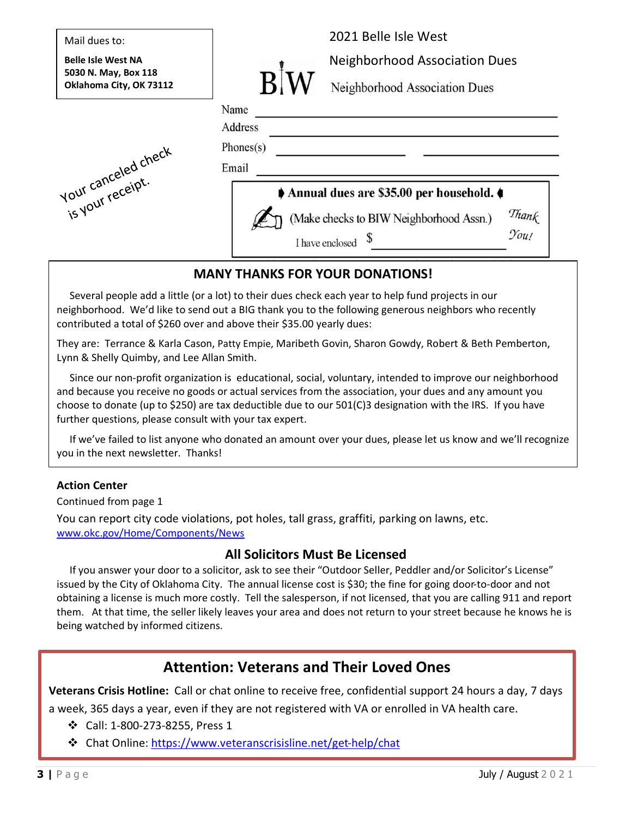| Mail dues to:                                     | 2021 Belle Isle West                                     |
|---------------------------------------------------|----------------------------------------------------------|
| <b>Belle Isle West NA</b><br>5030 N. May, Box 118 | <b>Neighborhood Association Dues</b>                     |
| Oklahoma City, OK 73112                           | Neighborhood Association Dues                            |
|                                                   | Name                                                     |
|                                                   | Address                                                  |
|                                                   | Phones(s)                                                |
|                                                   | Email                                                    |
| is your receipt.                                  | Annual dues are \$35.00 per household.                   |
|                                                   | Thank<br>You!<br>(Make checks to BIW Neighborhood Assn.) |
|                                                   | I have enclosed                                          |

## **MANY THANKS FOR YOUR DONATIONS!**

 Several people add a little (or a lot) to their dues check each year to help fund projects in our neighborhood. We'd like to send out a BIG thank you to the following generous neighbors who recently contributed a total of \$260 over and above their \$35.00 yearly dues:

They are: Terrance & Karla Cason, Patty Empie, Maribeth Govin, Sharon Gowdy, Robert & Beth Pemberton, Lynn & Shelly Quimby, and Lee Allan Smith.

 Since our non-profit organization is educational, social, voluntary, intended to improve our neighborhood and because you receive no goods or actual services from the association, your dues and any amount you choose to donate (up to \$250) are tax deductible due to our 501(C)3 designation with the IRS. If you have further questions, please consult with your tax expert.

 If we've failed to list anyone who donated an amount over your dues, please let us know and we'll recognize you in the next newsletter. Thanks!

### **Action Center**

Continued from page 1

You can report city code violations, pot holes, tall grass, graffiti, parking on lawns, etc. [www.okc.gov/Home/Components/News](http://www.okc.gov/Home/Components/News)

### **All Solicitors Must Be Licensed**

 If you answer your door to a solicitor, ask to see their "Outdoor Seller, Peddler and/or Solicitor's License" issued by the City of Oklahoma City. The annual license cost is \$30; the fine for going door-to-door and not obtaining a license is much more costly. Tell the salesperson, if not licensed, that you are calling 911 and report them. At that time, the seller likely leaves your area and does not return to your street because he knows he is being watched by informed citizens.

## **Attention: Veterans and Their Loved Ones**

**Veterans Crisis Hotline:** Call or chat online to receive free, confidential support 24 hours a day, 7 days

a week, 365 days a year, even if they are not registered with VA or enrolled in VA health care.

- ❖ Call: 1-800-273-8255, Press 1
- ❖ Chat Online:<https://www.veteranscrisisline.net/get-help/chat>